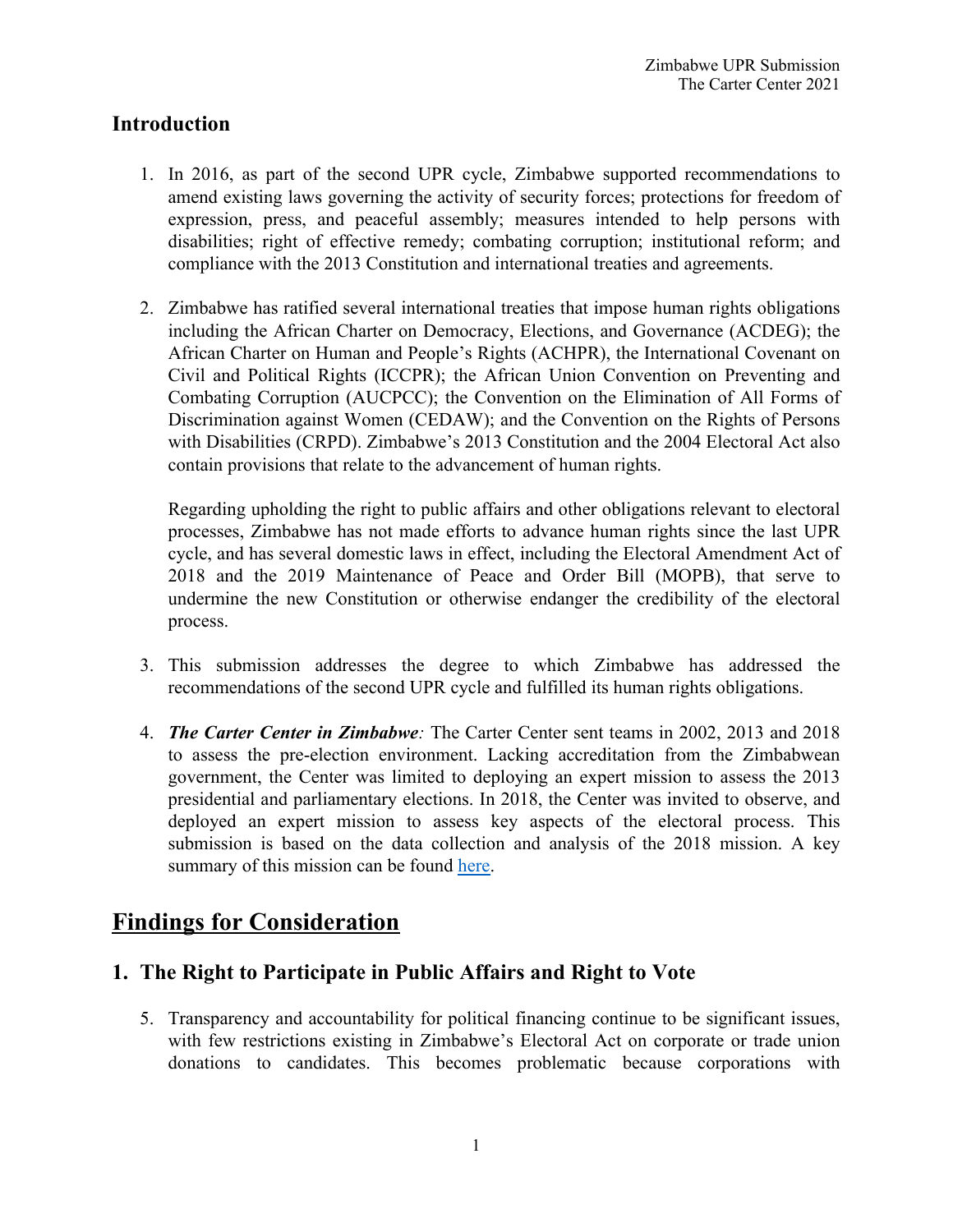### **Introduction**

- 1. In 2016, as par<sup>t</sup> of the second UPR cycle, Zimbabwe supported recommendations to amend existing laws governing the activity of security forces; protections for freedom of expression, press, and peaceful assembly; measures intended to help persons with disabilities; right of effective remedy; combating corruption; institutional reform; and compliance with the 2013 Constitution and international treaties and agreements.
- 2. Zimbabwe has ratified several international treaties that impose human rights obligations including the African Charter on Democracy, Elections, and Governance (ACDEG); the African Charter on Human and People'<sup>s</sup> Rights (ACHPR), the International Covenant on Civil and Political Rights (ICCPR); the African Union Convention on Preventing and Combating Corruption (AUCPCC); the Convention on the Elimination of All Forms of Discrimination against Women (CEDAW); and the Convention on the Rights of Persons with Disabilities (CRPD). Zimbabwe'<sup>s</sup> 2013 Constitution and the 2004 Electoral Act also contain provisions that relate to the advancement of human rights.

Regarding upholding the right to public affairs and other obligations relevant to electoral processes, Zimbabwe has not made efforts to advance human rights since the last UPR cycle, and has several domestic laws in effect, including the Electoral Amendment Act of 2018 and the 2019 Maintenance of Peace and Order Bill (MOPB), that serve to undermine the new Constitution or otherwise endanger the credibility of the electoral process.

- 3. This submission addresses the degree to which Zimbabwe has addressed the recommendations of the second UPR cycle and fulfilled its human rights obligations.
- 4. *The Carter Center in Zimbabwe:* The Carter Center sent teams in 2002, 2013 and 2018 to assess the pre-election environment. Lacking accreditation from the Zimbabwean government, the Center was limited to deploying an exper<sup>t</sup> mission to assess the 2013 presidential and parliamentary elections. In 2018, the Center was invited to observe, and deployed an exper<sup>t</sup> mission to assess key aspects of the electoral process. This submission is based on the data collection and analysis of the 2018 mission. A key summary of this mission can be found [here](https://www.cartercenter.org/resources/pdfs/news/peace_publications/election_reports/zimbabwe-final-2018-elections.pdf).

# **Findings for Consideration**

## **1. The Right to Participate in Public Affairs and Right to Vote**

5. Transparency and accountability for political financing continue to be significant issues, with few restrictions existing in Zimbabwe'<sup>s</sup> Electoral Act on corporate or trade union donations to candidates. This becomes problematic because corporations with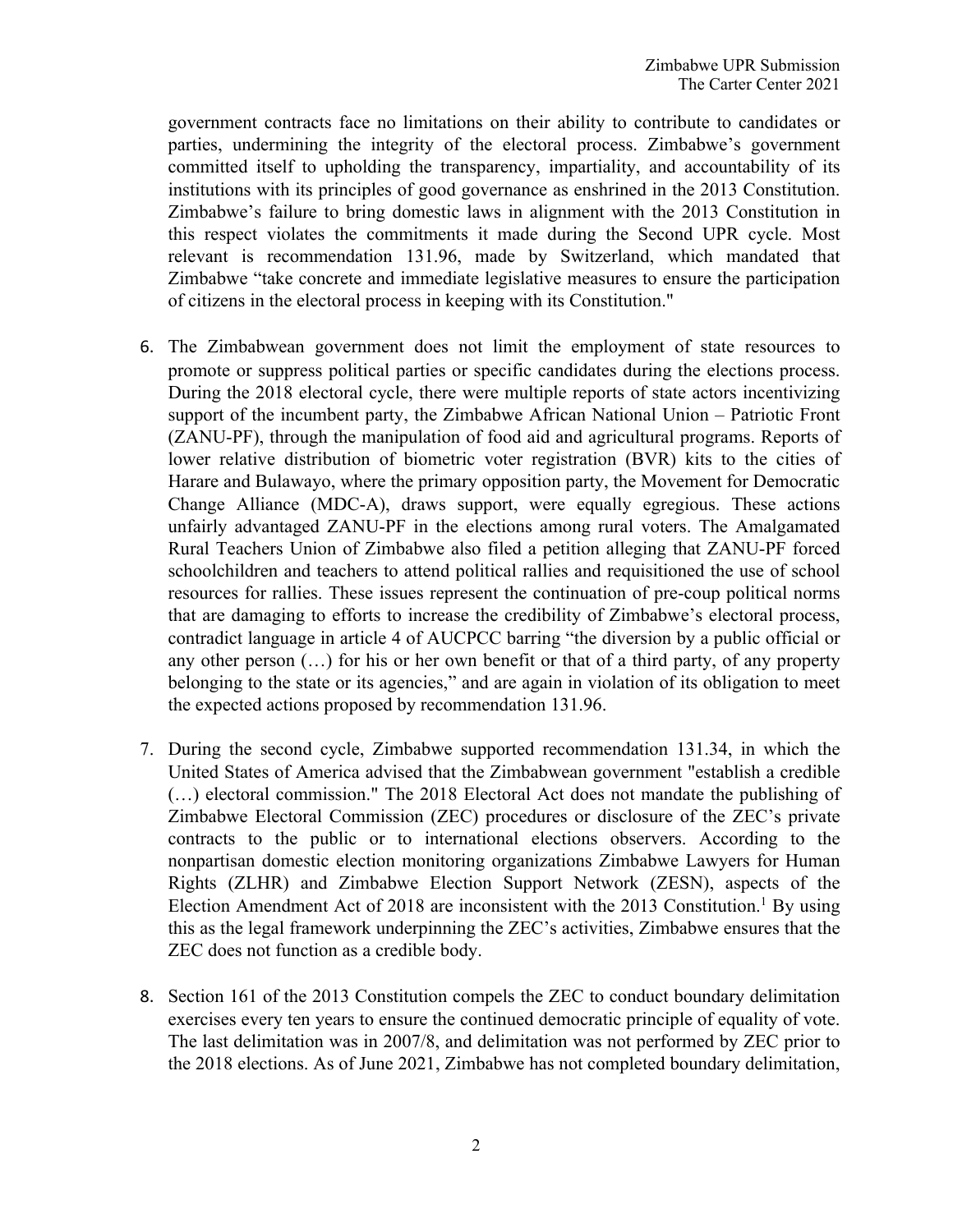governmen<sup>t</sup> contracts face no limitations on their ability to contribute to candidates or parties, undermining the integrity of the electoral process. Zimbabwe'<sup>s</sup> governmen<sup>t</sup> committed itself to upholding the transparency, impartiality, and accountability of its institutions with its principles of good governance as enshrined in the 2013 Constitution. Zimbabwe'<sup>s</sup> failure to bring domestic laws in alignment with the 2013 Constitution in this respec<sup>t</sup> violates the commitments it made during the Second UPR cycle. Most relevant is recommendation 131.96, made by Switzerland, which mandated that Zimbabwe "take concrete and immediate legislative measures to ensure the participation of citizens in the electoral process in keeping with its Constitution."

- 6. The Zimbabwean governmen<sup>t</sup> does not limit the employment of state resources to promote or suppress political parties or specific candidates during the elections process. During the 2018 electoral cycle, there were multiple reports of state actors incentivizing suppor<sup>t</sup> of the incumbent party, the Zimbabwe African National Union – Patriotic Front (ZANU-PF), through the manipulation of food aid and agricultural programs. Reports of lower relative distribution of biometric voter registration (BVR) kits to the cities of Harare and Bulawayo, where the primary opposition party, the Movement for Democratic Change Alliance (MDC-A), draws support, were equally egregious. These actions unfairly advantaged ZANU-PF in the elections among rural voters. The Amalgamated Rural Teachers Union of Zimbabwe also filed <sup>a</sup> petition alleging that ZANU-PF forced schoolchildren and teachers to attend political rallies and requisitioned the use of school resources for rallies. These issues represen<sup>t</sup> the continuation of pre-coup political norms that are damaging to efforts to increase the credibility of Zimbabwe'<sup>s</sup> electoral process, contradict language in article 4 of AUCPCC barring "the diversion by <sup>a</sup> public official or any other person (…) for his or her own benefit or that of <sup>a</sup> third party, of any property belonging to the state or its agencies," and are again in violation of its obligation to meet the expected actions proposed by recommendation 131.96.
- 7. During the second cycle, Zimbabwe supported recommendation 131.34, in which the United States of America advised that the Zimbabwean governmen<sup>t</sup> "establish <sup>a</sup> credible (…) electoral commission." The 2018 Electoral Act does not mandate the publishing of Zimbabwe Electoral Commission (ZEC) procedures or disclosure of the ZEC'<sup>s</sup> private contracts to the public or to international elections observers. According to the nonpartisan domestic election monitoring organizations Zimbabwe Lawyers for Human Rights (ZLHR) and Zimbabwe Election Support Network (ZESN), aspects of the Election Amendment Act of 2018 are inconsistent with the 2013 Constitution.<sup>1</sup> By using this as the legal framework underpinning the ZEC'<sup>s</sup> activities, Zimbabwe ensures that the ZEC does not function as <sup>a</sup> credible body.
- 8. Section 161 of the 2013 Constitution compels the ZEC to conduct boundary delimitation exercises every ten years to ensure the continued democratic principle of equality of vote. The last delimitation was in 2007/8, and delimitation was not performed by ZEC prior to the 2018 elections. As of June 2021, Zimbabwe has not completed boundary delimitation,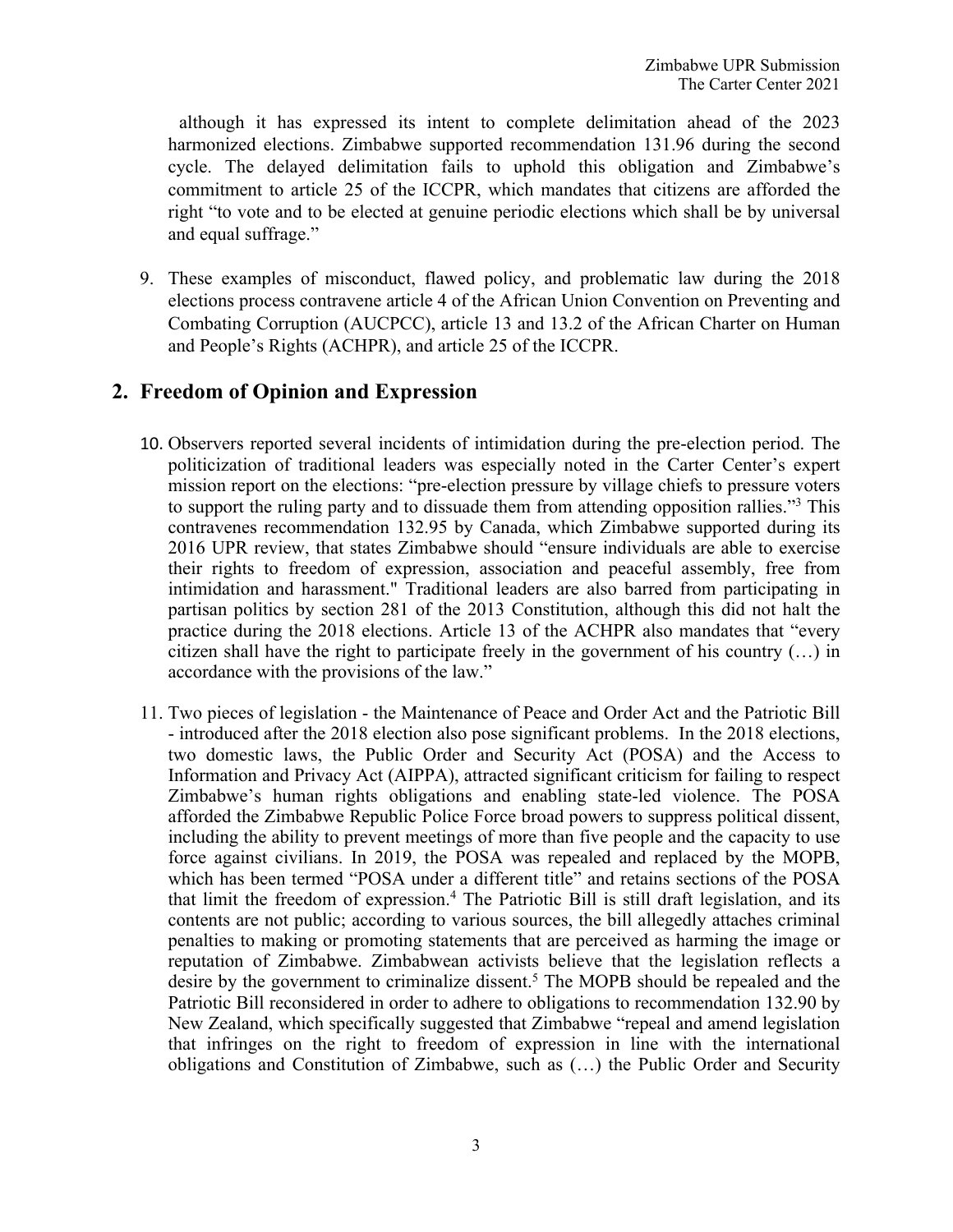although it has expressed its intent to complete delimitation ahead of the 2023 harmonized elections. Zimbabwe supported recommendation 131.96 during the second cycle. The delayed delimitation fails to uphold this obligation and Zimbabwe'<sup>s</sup> commitment to article 25 of the ICCPR, which mandates that citizens are afforded the right "to vote and to be elected at genuine periodic elections which shall be by universal and equal suffrage."

9. These examples of misconduct, flawed policy, and problematic law during the 2018 elections process contravene article 4 of the African Union Convention on Preventing and Combating Corruption (AUCPCC), article 13 and 13.2 of the African Charter on Human and People'<sup>s</sup> Rights (ACHPR), and article 25 of the ICCPR.

### **2. Freedom of Opinion and Expression**

- 10. Observers reported several incidents of intimidation during the pre-election period. The politicization of traditional leaders was especially noted in the Carter Center'<sup>s</sup> exper<sup>t</sup> mission repor<sup>t</sup> on the elections: "pre-election pressure by village chiefs to pressure voters to suppor<sup>t</sup> the ruling party and to dissuade them from attending opposition rallies."<sup>3</sup> This contravenes recommendation 132.95 by Canada, which Zimbabwe supported during its 2016 UPR review, that states Zimbabwe should "ensure individuals are able to exercise their rights to freedom of expression, association and peaceful assembly, free from intimidation and harassment." Traditional leaders are also barred from participating in partisan politics by section 281 of the 2013 Constitution, although this did not halt the practice during the 2018 elections. Article 13 of the ACHPR also mandates that "every citizen shall have the right to participate freely in the governmen<sup>t</sup> of his country (…) in accordance with the provisions of the law."
- 11. Two pieces of legislation the Maintenance of Peace and Order Act and the Patriotic Bill - introduced after the 2018 election also pose significant problems. In the 2018 elections, two domestic laws, the Public Order and Security Act (POSA) and the Access to Information and Privacy Act (AIPPA), attracted significant criticism for failing to respec<sup>t</sup> Zimbabwe'<sup>s</sup> human rights obligations and enabling state-led violence. The POSA afforded the Zimbabwe Republic Police Force broad powers to suppress political dissent, including the ability to preven<sup>t</sup> meetings of more than five people and the capacity to use force against civilians. In 2019, the POSA was repealed and replaced by the MOPB, which has been termed "POSA under <sup>a</sup> different title" and retains sections of the POSA that limit the freedom of expression. 4 The Patriotic Bill is still draft legislation, and its contents are not public; according to various sources, the bill allegedly attaches criminal penalties to making or promoting statements that are perceived as harming the image or reputation of Zimbabwe. Zimbabwean activists believe that the legislation reflects <sup>a</sup> desire by the governmen<sup>t</sup> to criminalize dissent. 5 The MOPB should be repealed and the Patriotic Bill reconsidered in order to adhere to obligations to recommendation 132.90 by New Zealand, which specifically suggested that Zimbabwe "repeal and amend legislation that infringes on the right to freedom of expression in line with the international obligations and Constitution of Zimbabwe, such as (…) the Public Order and Security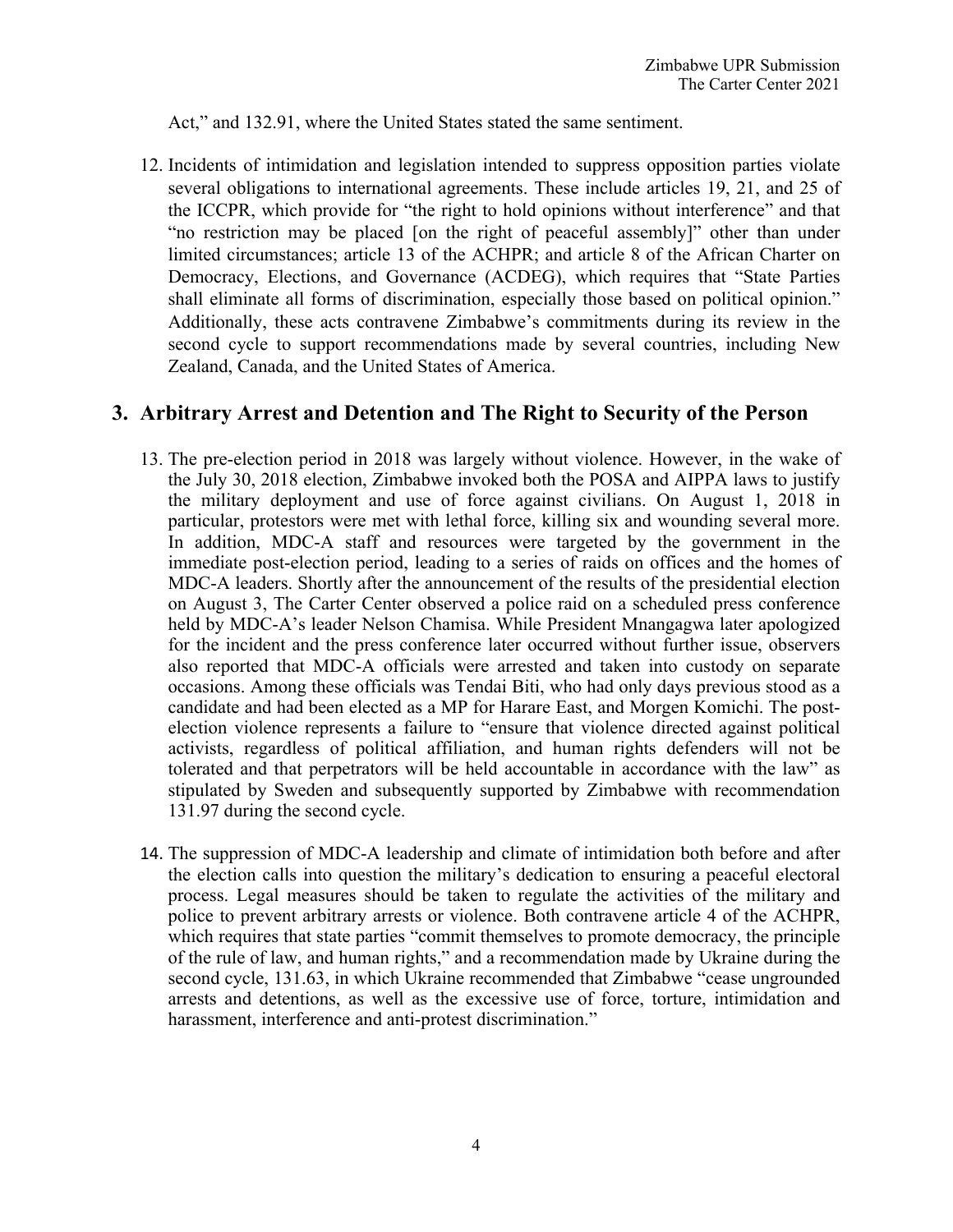Act," and 132.91, where the United States stated the same sentiment.

12. Incidents of intimidation and legislation intended to suppress opposition parties violate several obligations to international agreements. These include articles 19, 21, and 25 of the ICCPR, which provide for "the right to hold opinions without interference" and that "no restriction may be placed [on the right of peaceful assembly]" other than under limited circumstances; article 13 of the ACHPR; and article 8 of the African Charter on Democracy, Elections, and Governance (ACDEG), which requires that "State Parties shall eliminate all forms of discrimination, especially those based on political opinion." Additionally, these acts contravene Zimbabwe'<sup>s</sup> commitments during its review in the second cycle to suppor<sup>t</sup> recommendations made by several countries, including New Zealand, Canada, and the United States of America.

#### **3. Arbitrary Arrest and Detention and The Right to Security of the Person**

- 13. The pre-election period in 2018 was largely without violence. However, in the wake of the July 30, 2018 election, Zimbabwe invoked both the POSA and AIPPA laws to justify the military deployment and use of force against civilians. On August 1, 2018 in particular, protestors were met with lethal force, killing six and wounding several more. In addition, MDC-A staff and resources were targeted by the governmen<sup>t</sup> in the immediate post-election period, leading to <sup>a</sup> series of raids on offices and the homes of MDC-A leaders. Shortly after the announcement of the results of the presidential election on August 3, The Carter Center observed <sup>a</sup> police raid on <sup>a</sup> scheduled press conference held by MDC-A'<sup>s</sup> leader Nelson Chamisa. While President Mnangagwa later apologized for the incident and the press conference later occurred without further issue, observers also reported that MDC-A officials were arrested and taken into custody on separate occasions. Among these officials was Tendai Biti, who had only days previous stood as <sup>a</sup> candidate and had been elected as <sup>a</sup> MP for Harare East, and Morgen Komichi. The postelection violence represents <sup>a</sup> failure to "ensure that violence directed against political activists, regardless of political affiliation, and human rights defenders will not be tolerated and that perpetrators will be held accountable in accordance with the law" as stipulated by Sweden and subsequently supported by Zimbabwe with recommendation 131.97 during the second cycle.
- 14. The suppression of MDC-A leadership and climate of intimidation both before and after the election calls into question the military'<sup>s</sup> dedication to ensuring <sup>a</sup> peaceful electoral process. Legal measures should be taken to regulate the activities of the military and police to preven<sup>t</sup> arbitrary arrests or violence. Both contravene article 4 of the ACHPR, which requires that state parties "commit themselves to promote democracy, the principle of the rule of law, and human rights," and <sup>a</sup> recommendation made by Ukraine during the second cycle, 131.63, in which Ukraine recommended that Zimbabwe "cease ungrounded arrests and detentions, as well as the excessive use of force, torture, intimidation and harassment, interference and anti-protest discrimination."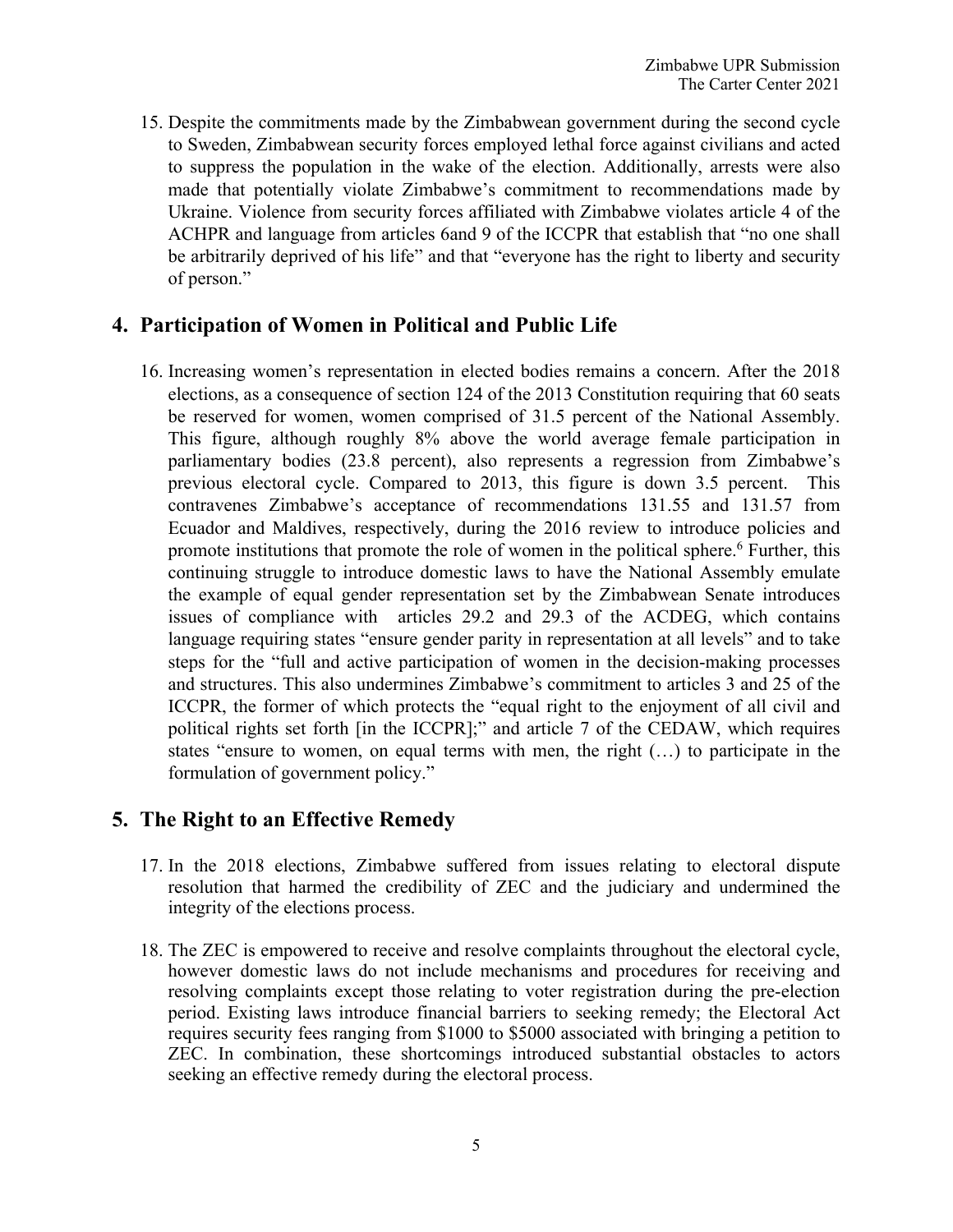15. Despite the commitments made by the Zimbabwean governmen<sup>t</sup> during the second cycle to Sweden, Zimbabwean security forces employed lethal force against civilians and acted to suppress the population in the wake of the election. Additionally, arrests were also made that potentially violate Zimbabwe'<sup>s</sup> commitment to recommendations made by Ukraine. Violence from security forces affiliated with Zimbabwe violates article 4 of the ACHPR and language from articles 6and 9 of the ICCPR that establish that "no one shall be arbitrarily deprived of his life" and that "everyone has the right to liberty and security of person."

### **4. Participation of Women in Political and Public Life**

16. Increasing women'<sup>s</sup> representation in elected bodies remains <sup>a</sup> concern. After the 2018 elections, as <sup>a</sup> consequence of section 124 of the 2013 Constitution requiring that 60 seats be reserved for women, women comprised of 31.5 percen<sup>t</sup> of the National Assembly. This figure, although roughly 8% above the world average female participation in parliamentary bodies (23.8 percent), also represents <sup>a</sup> regression from Zimbabwe'<sup>s</sup> previous electoral cycle. Compared to 2013, this figure is down 3.5 percent. This contravenes Zimbabwe'<sup>s</sup> acceptance of recommendations 131.55 and 131.57 from Ecuador and Maldives, respectively, during the 2016 review to introduce policies and promote institutions that promote the role of women in the political sphere. 6 Further, this continuing struggle to introduce domestic laws to have the National Assembly emulate the example of equal gender representation set by the Zimbabwean Senate introduces issues of compliance with articles 29.2 and 29.3 of the ACDEG, which contains language requiring states "ensure gender parity in representation at all levels" and to take steps for the "full and active participation of women in the decision-making processes and structures. This also undermines Zimbabwe'<sup>s</sup> commitment to articles 3 and 25 of the ICCPR, the former of which protects the "equal right to the enjoyment of all civil and political rights set forth [in the ICCPR];" and article 7 of the CEDAW, which requires states "ensure to women, on equal terms with men, the right (…) to participate in the formulation of governmen<sup>t</sup> policy."

## **5. The Right to an Effective Remedy**

- 17. In the 2018 elections, Zimbabwe suffered from issues relating to electoral dispute resolution that harmed the credibility of ZEC and the judiciary and undermined the integrity of the elections process.
- 18. The ZEC is empowered to receive and resolve complaints throughout the electoral cycle, however domestic laws do not include mechanisms and procedures for receiving and resolving complaints excep<sup>t</sup> those relating to voter registration during the pre-election period. Existing laws introduce financial barriers to seeking remedy; the Electoral Act requires security fees ranging from \$1000 to \$5000 associated with bringing <sup>a</sup> petition to ZEC. In combination, these shortcomings introduced substantial obstacles to actors seeking an effective remedy during the electoral process.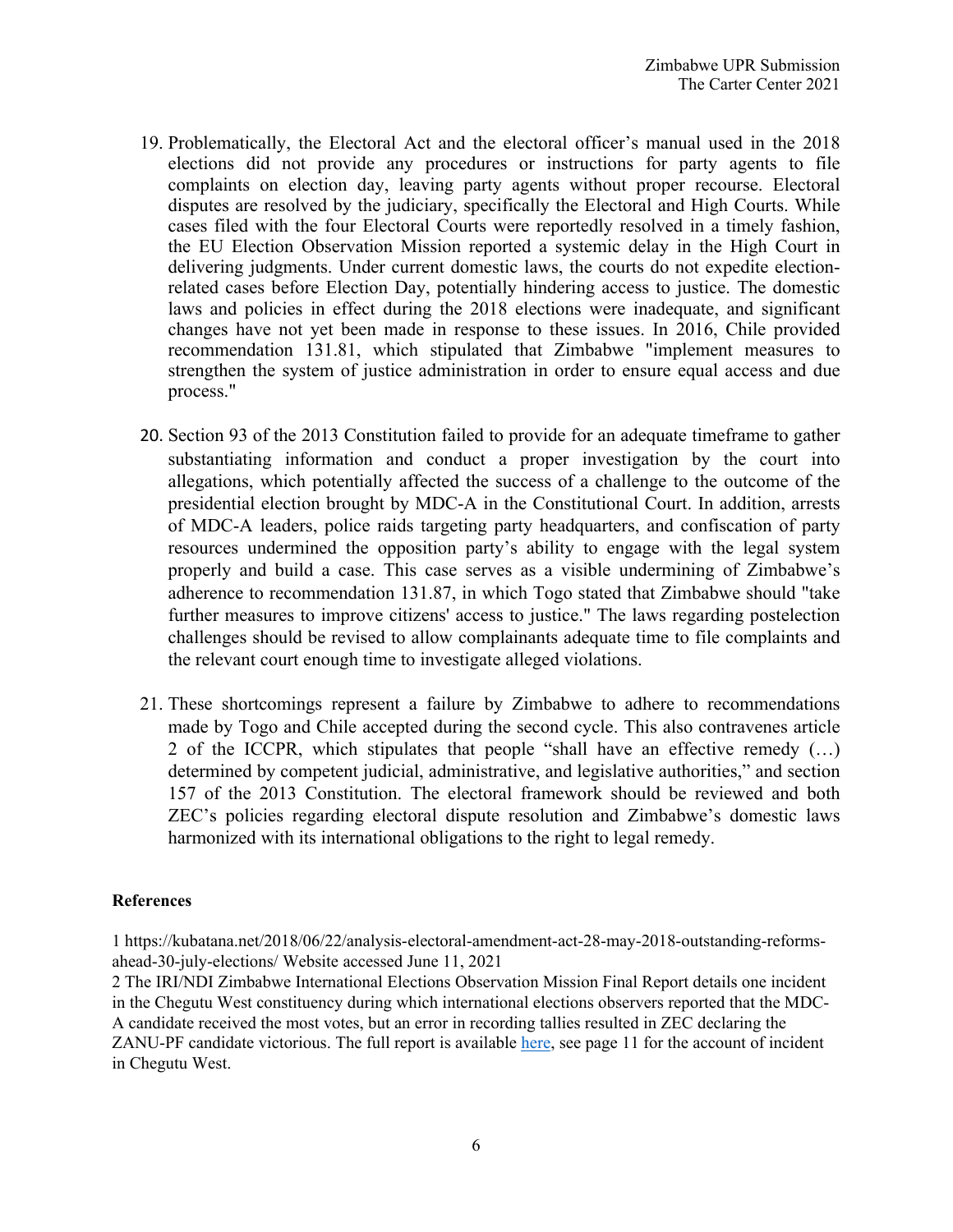- 19. Problematically, the Electoral Act and the electoral officer'<sup>s</sup> manual used in the 2018 elections did not provide any procedures or instructions for party agents to file complaints on election day, leaving party agents without proper recourse. Electoral disputes are resolved by the judiciary, specifically the Electoral and High Courts. While cases filed with the four Electoral Courts were reportedly resolved in <sup>a</sup> timely fashion, the EU Election Observation Mission reported <sup>a</sup> systemic delay in the High Court in delivering judgments. Under current domestic laws, the courts do not expedite electionrelated cases before Election Day, potentially hindering access to justice. The domestic laws and policies in effect during the 2018 elections were inadequate, and significant changes have not ye<sup>t</sup> been made in response to these issues. In 2016, Chile provided recommendation 131.81, which stipulated that Zimbabwe "implement measures to strengthen the system of justice administration in order to ensure equal access and due process."
- 20. Section 93 of the 2013 Constitution failed to provide for an adequate timeframe to gather substantiating information and conduct <sup>a</sup> proper investigation by the court into allegations, which potentially affected the success of <sup>a</sup> challenge to the outcome of the presidential election brought by MDC-A in the Constitutional Court. In addition, arrests of MDC-A leaders, police raids targeting party headquarters, and confiscation of party resources undermined the opposition party'<sup>s</sup> ability to engage with the legal system properly and build <sup>a</sup> case. This case serves as <sup>a</sup> visible undermining of Zimbabwe'<sup>s</sup> adherence to recommendation 131.87, in which Togo stated that Zimbabwe should "take further measures to improve citizens' access to justice." The laws regarding postelection challenges should be revised to allow complainants adequate time to file complaints and the relevant court enough time to investigate alleged violations.
- 21. These shortcomings represen<sup>t</sup> <sup>a</sup> failure by Zimbabwe to adhere to recommendations made by Togo and Chile accepted during the second cycle. This also contravenes article 2 of the ICCPR, which stipulates that people "shall have an effective remedy (…) determined by competent judicial, administrative, and legislative authorities," and section 157 of the 2013 Constitution. The electoral framework should be reviewed and both ZEC'<sup>s</sup> policies regarding electoral dispute resolution and Zimbabwe'<sup>s</sup> domestic laws harmonized with its international obligations to the right to legal remedy.

#### **References**

1 https://kubatana.net/2018/06/22/analysis-electoral-amendment-act-28-may-2018-outstanding-reformsahead-30-july-elections/ Website accessed June 11, 2021

2 The IRI/NDI Zimbabwe International Elections Observation Mission Final Report details one incident in the Chegutu West constituency during which international elections observers reported that the MDC-A candidate received the most votes, but an error in recording tallies resulted in ZEC declaring the ZANU-PF candidate victorious. The full repor<sup>t</sup> is available here, see page 11 for the account of incident in Chegutu West.